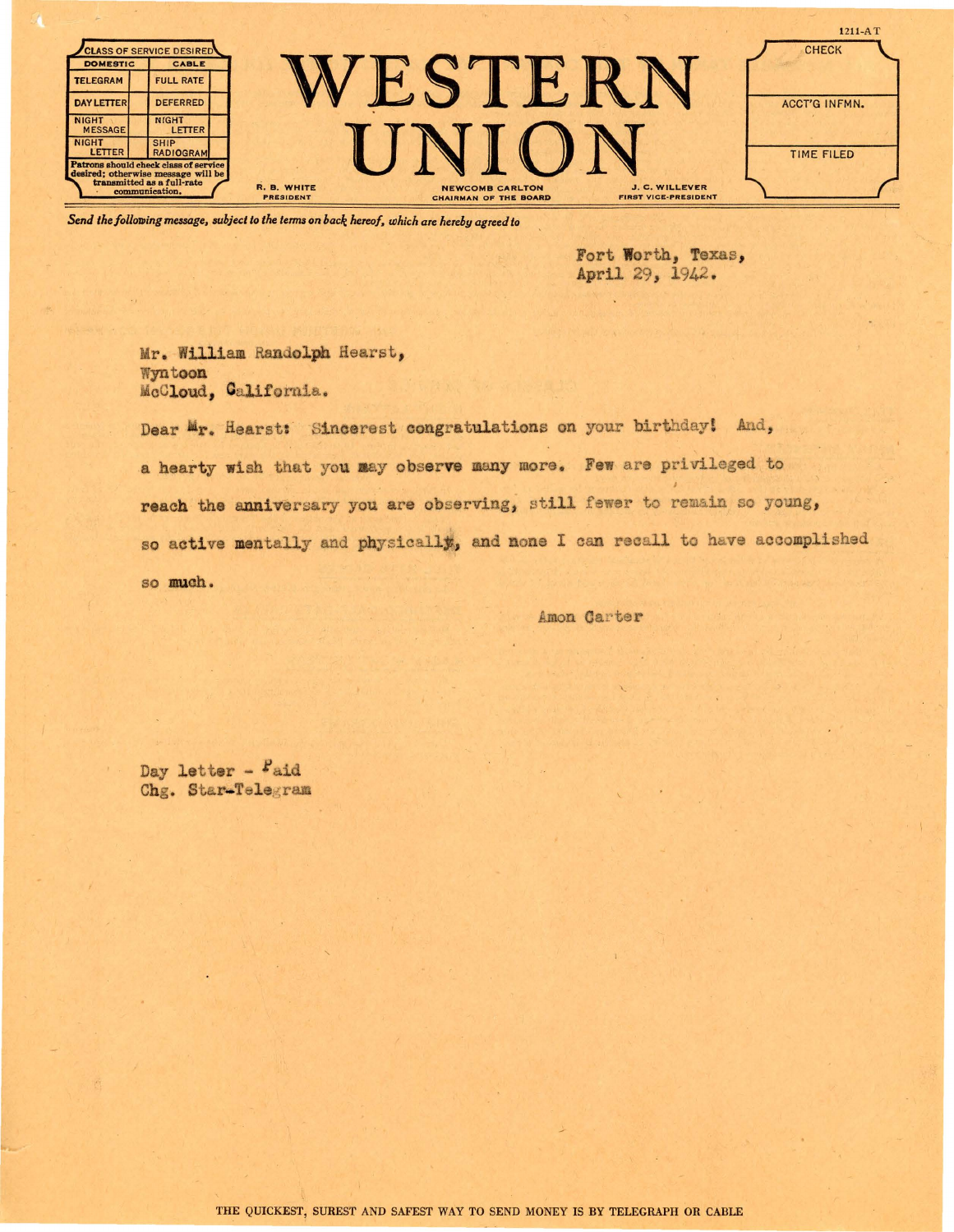| <b>DOMESTIC</b>                                                                    | <b>CLASS OF SERVICE DESIRED</b><br><b>CABLE</b>                   |                                                                                                                                                   | $1211 - A T$<br><b>CHECK</b> |
|------------------------------------------------------------------------------------|-------------------------------------------------------------------|---------------------------------------------------------------------------------------------------------------------------------------------------|------------------------------|
| <b>TELEGRAM</b><br><b>DAY LETTER</b>                                               | <b>FULL RATE</b><br><b>DEFERRED</b>                               |                                                                                                                                                   | <b>ACCT'G INFMN.</b>         |
| <b>NIGHT</b><br><b>MESSAGE</b>                                                     | <b>NIGHT</b><br>LETTER                                            |                                                                                                                                                   |                              |
| <b>NIGHT</b><br><b>LETTER</b>                                                      | <b>SHIP</b><br>RADIOGRAM<br>Patrons should check class of service |                                                                                                                                                   | TIME FILED                   |
| desired; otherwise message will be<br>transmitted as a full-rate<br>communication. |                                                                   | R. B. WHITE<br><b>J. C. WILLEVER</b><br><b>NEWCOMB CARLTON</b><br><b>FIRST VICE-PRESIDENT</b><br><b>PRESIDENT</b><br><b>CHAIRMAN OF THE BOARD</b> |                              |

*Send the following message, subject to the terms on back hereof, which are hereby agreed to* 

Fort **Worth,** Texas, April 29, 1942.

Mr. William Randolph Hearst, Wyn.toon MoCloud, Oalifornia.

Dear Mr. Hearst: Sincerest congratulations on your birthday! And, a hearty wish tnat you aay observe many more. Few are privileged to reach the anniversary you are observing, still fewer to remain so young, so active mentally and physically, and none I can recall to have accomplished so muah.

Amon Carter

Day letter - Faid Chg. Star-Telegram